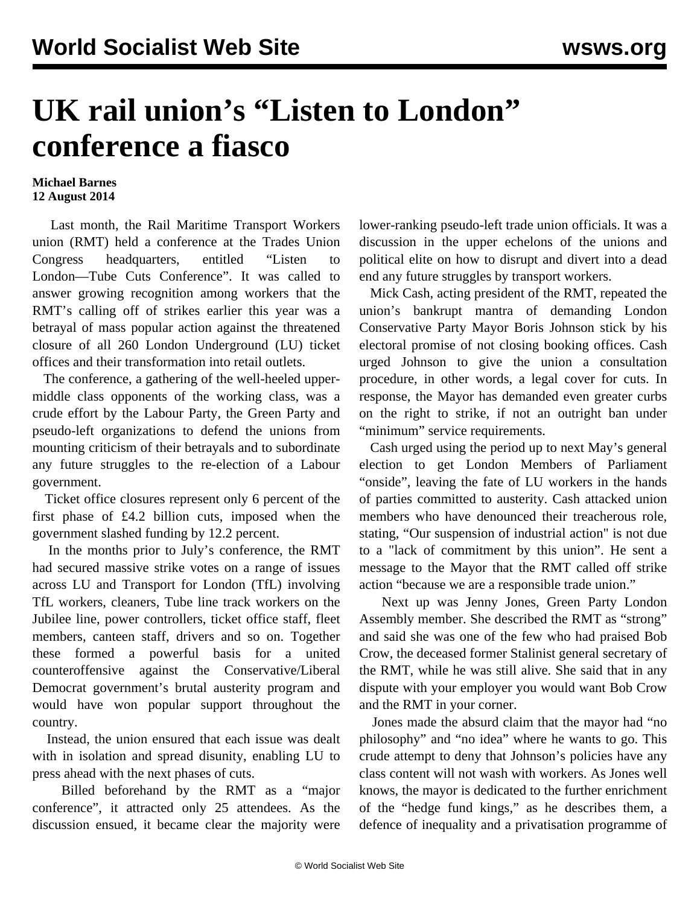## **UK rail union's "Listen to London" conference a fiasco**

## **Michael Barnes 12 August 2014**

 Last month, the Rail Maritime Transport Workers union (RMT) held a conference at the Trades Union Congress headquarters, entitled "Listen to London—Tube Cuts Conference". It was called to answer growing recognition among workers that the RMT's calling off of strikes earlier this year was a betrayal of mass popular action against the threatened closure of all 260 London Underground (LU) ticket offices and their transformation into retail outlets.

 The conference, a gathering of the well-heeled uppermiddle class opponents of the working class, was a crude effort by the Labour Party, the Green Party and pseudo-left organizations to defend the unions from mounting criticism of their betrayals and to subordinate any future struggles to the re-election of a Labour government.

 Ticket office closures represent only 6 percent of the first phase of £4.2 billion cuts, imposed when the government slashed funding by 12.2 percent.

 In the months prior to July's conference, the RMT had secured massive strike votes on a range of issues across LU and Transport for London (TfL) involving TfL workers, cleaners, Tube line track workers on the Jubilee line, power controllers, ticket office staff, fleet members, canteen staff, drivers and so on. Together these formed a powerful basis for a united counteroffensive against the Conservative/Liberal Democrat government's brutal austerity program and would have won popular support throughout the country.

 Instead, the union ensured that each issue was dealt with in isolation and spread disunity, enabling LU to press ahead with the next phases of cuts.

 Billed beforehand by the RMT as a "major conference", it attracted only 25 attendees. As the discussion ensued, it became clear the majority were lower-ranking pseudo-left trade union officials. It was a discussion in the upper echelons of the unions and political elite on how to disrupt and divert into a dead end any future struggles by transport workers.

 Mick Cash, acting president of the RMT, repeated the union's bankrupt mantra of demanding London Conservative Party Mayor Boris Johnson stick by his electoral promise of not closing booking offices. Cash urged Johnson to give the union a consultation procedure, in other words, a legal cover for cuts. In response, the Mayor has demanded even greater curbs on the right to strike, if not an outright ban under "minimum" service requirements.

 Cash urged using the period up to next May's general election to get London Members of Parliament "onside", leaving the fate of LU workers in the hands of parties committed to austerity. Cash attacked union members who have denounced their treacherous role, stating, "Our suspension of industrial action" is not due to a "lack of commitment by this union". He sent a message to the Mayor that the RMT called off strike action "because we are a responsible trade union."

 Next up was Jenny Jones, Green Party London Assembly member. She described the RMT as "strong" and said she was one of the few who had praised Bob Crow, the deceased former Stalinist general secretary of the RMT, while he was still alive. She said that in any dispute with your employer you would want Bob Crow and the RMT in your corner.

 Jones made the absurd claim that the mayor had "no philosophy" and "no idea" where he wants to go. This crude attempt to deny that Johnson's policies have any class content will not wash with workers. As Jones well knows, the mayor is dedicated to the further enrichment of the "hedge fund kings," as he describes them, a defence of inequality and a privatisation programme of